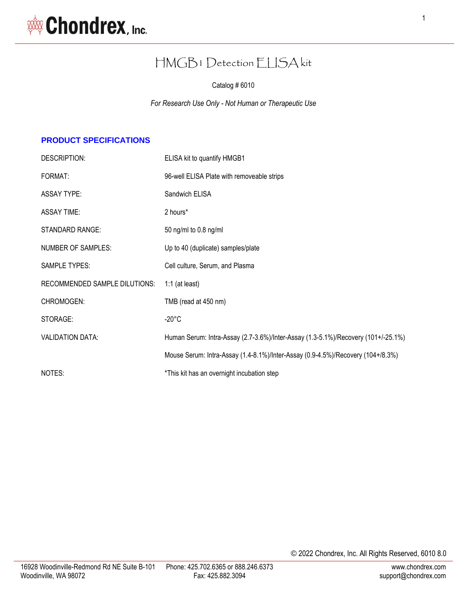

# HMGB1 Detection ELISA kit

Catalog # 6010

*For Research Use Only - Not Human or Therapeutic Use*

### **PRODUCT SPECIFICATIONS**

| DESCRIPTION:                  | ELISA kit to quantify HMGB1                                                       |  |
|-------------------------------|-----------------------------------------------------------------------------------|--|
| FORMAT:                       | 96-well ELISA Plate with removeable strips                                        |  |
| <b>ASSAY TYPE:</b>            | Sandwich ELISA                                                                    |  |
| <b>ASSAY TIME:</b>            | 2 hours*                                                                          |  |
| <b>STANDARD RANGE:</b>        | 50 ng/ml to $0.8$ ng/ml                                                           |  |
| NUMBER OF SAMPLES:            | Up to 40 (duplicate) samples/plate                                                |  |
| <b>SAMPLE TYPES:</b>          | Cell culture, Serum, and Plasma                                                   |  |
| RECOMMENDED SAMPLE DILUTIONS: | $1:1$ (at least)                                                                  |  |
| CHROMOGEN:                    | TMB (read at 450 nm)                                                              |  |
| STORAGE:                      | $-20^{\circ}$ C                                                                   |  |
| <b>VALIDATION DATA:</b>       | Human Serum: Intra-Assay (2.7-3.6%)/Inter-Assay (1.3-5.1%)/Recovery (101+/-25.1%) |  |
|                               | Mouse Serum: Intra-Assay (1.4-8.1%)/Inter-Assay (0.9-4.5%)/Recovery (104+/8.3%)   |  |
| NOTES:                        | *This kit has an overnight incubation step                                        |  |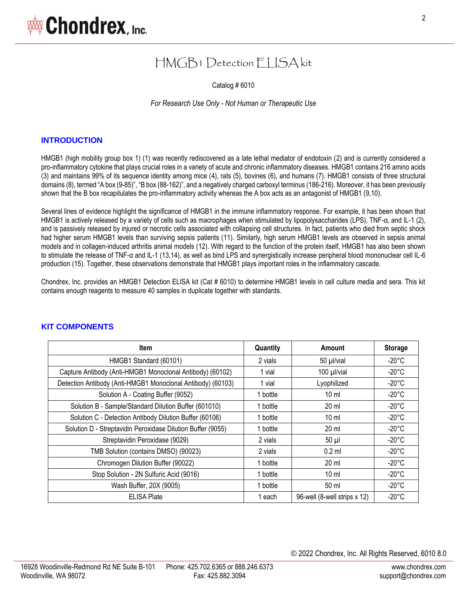# HMGB1 Detection ELISA kit

Catalog # 6010

*For Research Use Only - Not Human or Therapeutic Use*

#### **INTRODUCTION**

HMGB1 (high mobility group box 1) (1) was recently rediscovered as a late lethal mediator of endotoxin (2) and is currently considered a pro-inflammatory cytokine that plays crucial roles in a variety of acute and chronic inflammatory diseases. HMGB1 contains 216 amino acids (3) and maintains 99% of its sequence identity among mice (4), rats (5), bovines (6), and humans (7). HMGB1 consists of three structural domains (8), termed "A box (9-85)", "B box (88-162)", and a negatively charged carboxyl terminus (186-216). Moreover, it has been previously shown that the B box recapitulates the pro-inflammatory activity whereas the A box acts as an antagonist of HMGB1 (9,10).

Several lines of evidence highlight the significance of HMGB1 in the immune inflammatory response. For example, it has been shown that HMGB1 is actively released by a variety of cells such as macrophages when stimulated by lipopolysaccharides (LPS), TNF-α, and IL-1 (2), and is passively released by injured or necrotic cells associated with collapsing cell structures. In fact, patients who died from septic shock had higher serum HMGB1 levels than surviving sepsis patients (11). Similarly, high serum HMGB1 levels are observed in sepsis animal models and in collagen-induced arthritis animal models (12). With regard to the function of the protein itself, HMGB1 has also been shown to stimulate the release of TNF-α and IL-1 (13,14), as well as bind LPS and synergistically increase peripheral blood mononuclear cell IL-6 production (15). Together, these observations demonstrate that HMGB1 plays important roles in the inflammatory cascade.

Chondrex, Inc. provides an HMGB1 Detection ELISA kit (Cat # 6010) to determine HMGB1 levels in cell culture media and sera. This kit contains enough reagents to measure 40 samples in duplicate together with standards.

| <b>Item</b>                                                 | Quantity | Amount                       | <b>Storage</b>  |
|-------------------------------------------------------------|----------|------------------------------|-----------------|
| HMGB1 Standard (60101)                                      | 2 vials  | 50 µl/vial                   | $-20^{\circ}$ C |
| Capture Antibody (Anti-HMGB1 Monoclonal Antibody) (60102)   | 1 vial   | 100 µl/vial                  | $-20^{\circ}$ C |
| Detection Antibody (Anti-HMGB1 Monoclonal Antibody) (60103) | 1 vial   | Lyophilized                  | $-20^{\circ}$ C |
| Solution A - Coating Buffer (9052)                          | 1 bottle | $10 \mathrm{m}$              | $-20^{\circ}$ C |
| Solution B - Sample/Standard Dilution Buffer (601010)       | 1 bottle | $20 \mathrm{ml}$             | $-20^{\circ}$ C |
| Solution C - Detection Antibody Dilution Buffer (60106)     | 1 bottle | $10 \mathrm{m}$              | $-20^{\circ}$ C |
| Solution D - Streptavidin Peroxidase Dilution Buffer (9055) | 1 bottle | 20 ml                        | $-20^{\circ}$ C |
| Streptavidin Peroxidase (9029)                              | 2 vials  | $50 \mu$                     | $-20^{\circ}$ C |
| TMB Solution (contains DMSO) (90023)                        | 2 vials  | $0.2$ ml                     | $-20^{\circ}$ C |
| Chromogen Dilution Buffer (90022)                           | 1 bottle | $20$ ml                      | $-20^{\circ}$ C |
| Stop Solution - 2N Sulfuric Acid (9016)                     | 1 bottle | $10 \mathrm{m}$              | $-20^{\circ}$ C |
| Wash Buffer, 20X (9005)                                     | 1 bottle | 50 ml                        | $-20^{\circ}$ C |
| <b>ELISA Plate</b>                                          | 1 each   | 96-well (8-well strips x 12) | $-20^{\circ}$ C |

#### **KIT COMPONENTS**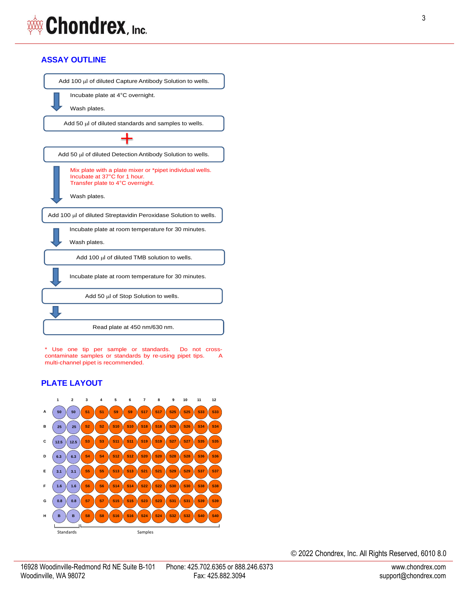# **ASSAY OUTLINE**



\* Use one tip per sample or standards. Do not crosscontaminate samples or standards by re-using pipet tips. A multi-channel pipet is recommended.

# **PLATE LAYOUT**

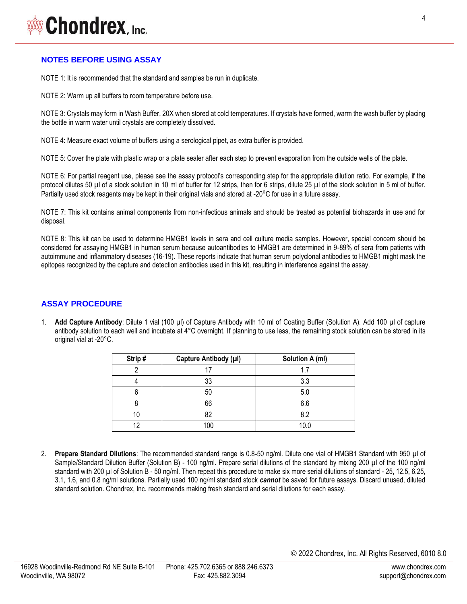# **WAXA Chondrex**, Inc.

## **NOTES BEFORE USING ASSAY**

NOTE 1: It is recommended that the standard and samples be run in duplicate.

NOTE 2: Warm up all buffers to room temperature before use.

NOTE 3: Crystals may form in Wash Buffer, 20X when stored at cold temperatures. If crystals have formed, warm the wash buffer by placing the bottle in warm water until crystals are completely dissolved.

NOTE 4: Measure exact volume of buffers using a serological pipet, as extra buffer is provided.

NOTE 5: Cover the plate with plastic wrap or a plate sealer after each step to prevent evaporation from the outside wells of the plate.

NOTE 6: For partial reagent use, please see the assay protocol's corresponding step for the appropriate dilution ratio. For example, if the protocol dilutes 50 µl of a stock solution in 10 ml of buffer for 12 strips, then for 6 strips, dilute 25 µl of the stock solution in 5 ml of buffer. Partially used stock reagents may be kept in their original vials and stored at -20°C for use in a future assay.

NOTE 7: This kit contains animal components from non-infectious animals and should be treated as potential biohazards in use and for disposal.

NOTE 8: This kit can be used to determine HMGB1 levels in sera and cell culture media samples. However, special concern should be considered for assaying HMGB1 in human serum because autoantibodies to HMGB1 are determined in 9-89% of sera from patients with autoimmune and inflammatory diseases (16-19). These reports indicate that human serum polyclonal antibodies to HMGB1 might mask the epitopes recognized by the capture and detection antibodies used in this kit, resulting in interference against the assay.

## **ASSAY PROCEDURE**

1. **Add Capture Antibody**: Dilute 1 vial (100 µl) of Capture Antibody with 10 ml of Coating Buffer (Solution A). Add 100 µl of capture antibody solution to each well and incubate at 4°C overnight. If planning to use less, the remaining stock solution can be stored in its original vial at -20°C.

| Strip# | Capture Antibody (µl) | Solution A (ml) |
|--------|-----------------------|-----------------|
|        |                       | 1.7             |
|        | 33                    | 3.3             |
|        | 50                    | 5.0             |
|        | 66                    | 6.6             |
| 10     | 82                    | 8.2             |
| 12     | 100                   | 10.0            |

2. **Prepare Standard Dilutions**: The recommended standard range is 0.8-50 ng/ml. Dilute one vial of HMGB1 Standard with 950 µl of Sample/Standard Dilution Buffer (Solution B) - 100 ng/ml. Prepare serial dilutions of the standard by mixing 200 µl of the 100 ng/ml standard with 200 µl of Solution B - 50 ng/ml. Then repeat this procedure to make six more serial dilutions of standard - 25, 12.5, 6.25, 3.1, 1.6, and 0.8 ng/ml solutions. Partially used 100 ng/ml standard stock *cannot* be saved for future assays. Discard unused, diluted standard solution. Chondrex, Inc. recommends making fresh standard and serial dilutions for each assay.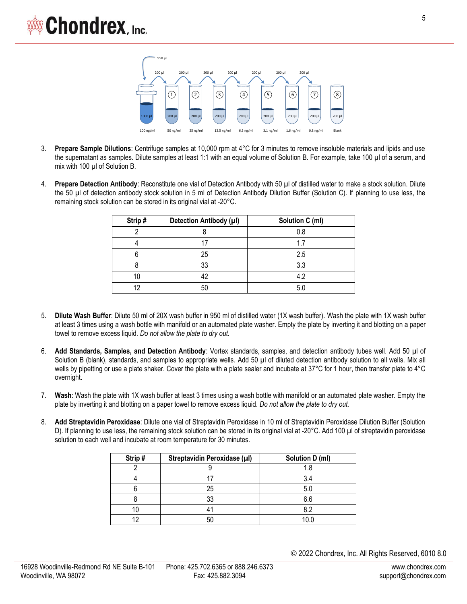

- 3. **Prepare Sample Dilutions**: Centrifuge samples at 10,000 rpm at 4°C for 3 minutes to remove insoluble materials and lipids and use the supernatant as samples. Dilute samples at least 1:1 with an equal volume of Solution B. For example, take 100 µl of a serum, and mix with 100 µl of Solution B.
- 4. **Prepare Detection Antibody**: Reconstitute one vial of Detection Antibody with 50 µl of distilled water to make a stock solution. Dilute the 50 µl of detection antibody stock solution in 5 ml of Detection Antibody Dilution Buffer (Solution C). If planning to use less, the remaining stock solution can be stored in its original vial at -20°C.

| Strip# | Detection Antibody (µl) | Solution C (ml) |
|--------|-------------------------|-----------------|
|        |                         | 0.8             |
|        |                         | 1.7             |
|        | 25                      | 2.5             |
|        | 33                      | 3.3             |
|        | 42                      | 4.2             |
|        | 50                      | 5.0             |

- 5. **Dilute Wash Buffer**: Dilute 50 ml of 20X wash buffer in 950 ml of distilled water (1X wash buffer). Wash the plate with 1X wash buffer at least 3 times using a wash bottle with manifold or an automated plate washer. Empty the plate by inverting it and blotting on a paper towel to remove excess liquid. *Do not allow the plate to dry out.*
- 6. **Add Standards, Samples, and Detection Antibody**: Vortex standards, samples, and detection antibody tubes well. Add 50 µl of Solution B (blank), standards, and samples to appropriate wells. Add 50 µl of diluted detection antibody solution to all wells. Mix all wells by pipetting or use a plate shaker. Cover the plate with a plate sealer and incubate at 37°C for 1 hour, then transfer plate to 4°C overnight.
- 7. **Wash**: Wash the plate with 1X wash buffer at least 3 times using a wash bottle with manifold or an automated plate washer. Empty the plate by inverting it and blotting on a paper towel to remove excess liquid. *Do not allow the plate to dry out.*
- 8. **Add Streptavidin Peroxidase**: Dilute one vial of Streptavidin Peroxidase in 10 ml of Streptavidin Peroxidase Dilution Buffer (Solution D). If planning to use less, the remaining stock solution can be stored in its original vial at -20°C. Add 100 µl of streptavidin peroxidase solution to each well and incubate at room temperature for 30 minutes.

| Strip# | Streptavidin Peroxidase (µl) | Solution D (ml) |
|--------|------------------------------|-----------------|
|        |                              |                 |
|        |                              | 3.4             |
|        | 25                           | 5.0             |
|        | 33                           | 6.6             |
|        |                              | ደ ጋ             |
|        |                              | 10 ር            |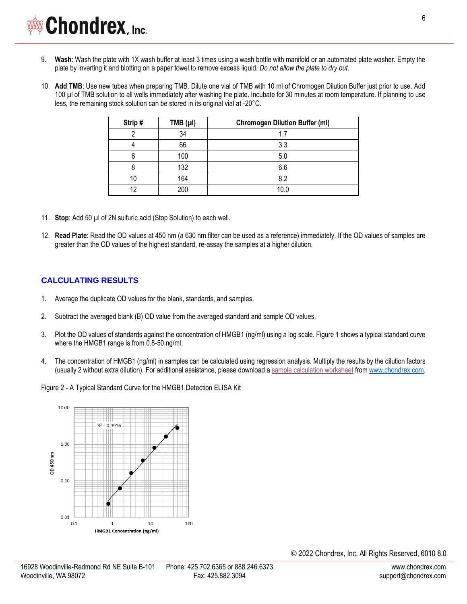- 9. **Wash**: Wash the plate with 1X wash buffer at least 3 times using a wash bottle with manifold or an automated plate washer. Empty the plate by inverting it and blotting on a paper towel to remove excess liquid. *Do not allow the plate to dry out.*
- 10. **Add TMB**: Use new tubes when preparing TMB. Dilute one vial of TMB with 10 ml of Chromogen Dilution Buffer just prior to use. Add 100 µl of TMB solution to all wells immediately after washing the plate. Incubate for 30 minutes at room temperature. If planning to use less, the remaining stock solution can be stored in its original vial at -20°C.

| Strip# | TMB $(\mu I)$ | <b>Chromogen Dilution Buffer (ml)</b> |
|--------|---------------|---------------------------------------|
|        | 34            | 1.7                                   |
|        | 66            | 3.3                                   |
|        | 100           | 5.0                                   |
|        | 132           | 6.6                                   |
| 10     | 164           | 8.2                                   |
| 12     | 200           | 10.0                                  |

- 11. **Stop**: Add 50 µl of 2N sulfuric acid (Stop Solution) to each well.
- 12. **Read Plate**: Read the OD values at 450 nm (a 630 nm filter can be used as a reference) immediately. If the OD values of samples are greater than the OD values of the highest standard, re-assay the samples at a higher dilution.

#### **CALCULATING RESULTS**

- 1. Average the duplicate OD values for the blank, standards, and samples.
- 2. Subtract the averaged blank (B) OD value from the averaged standard and sample OD values.
- 3. Plot the OD values of standards against the concentration of HMGB1 (ng/ml) using a log scale. Figure 1 shows a typical standard curve where the HMGB1 range is from 0.8-50 ng/ml.
- 4. The concentration of HMGB1 (ng/ml) in samples can be calculated using regression analysis. Multiply the results by the dilution factors (usually 2 without extra dilution). For additional assistance, please download [a sample calculation worksheet](http://www.chondrex.com/documents/HMGB1-Worksheet.xlsx) fro[m www.chondrex.com.](http://www.chondrex.com/protocols)

Figure 2 - A Typical Standard Curve for the HMGB1 Detection ELISA Kit

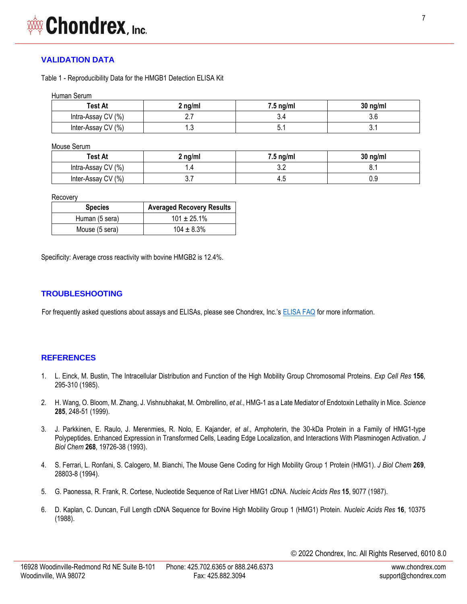## **VALIDATION DATA**

Table 1 - Reproducibility Data for the HMGB1 Detection ELISA Kit

| Human Serum |  |
|-------------|--|
|-------------|--|

| <b>Test At</b>     | $2$ ng/ml | $7.5 \text{ ng/ml}$ | $30$ ng/ml |
|--------------------|-----------|---------------------|------------|
| Intra-Assay CV (%) | <u>.</u>  | 5.4                 | v.J        |
| Inter-Assay CV (%) | ں. ا      | Б.<br>∪. ı          | ັບ. .      |

Mouse Serum

| Test At            | 2 ng/ml | $7.5 \text{ ng/ml}$ | $30$ ng/ml |
|--------------------|---------|---------------------|------------|
| Intra-Assay CV (%) | I .4    | $\sim$<br>v.L       | ◡.         |
| Inter-Assay CV (%) | ບ. ເ    | 4.5                 | 0.9        |

Recovery

| <b>Species</b> | <b>Averaged Recovery Results</b> |
|----------------|----------------------------------|
| Human (5 sera) | $101 \pm 25.1\%$                 |
| Mouse (5 sera) | $104 \pm 8.3\%$                  |

Specificity: Average cross reactivity with bovine HMGB2 is 12.4%.

#### **TROUBLESHOOTING**

For frequently asked questions about assays and ELISAs, please see Chondrex, Inc.'s [ELISA FAQ](https://www.chondrex.com/documents/ELISA-FAQ.pdf) for more information.

#### **REFERENCES**

- 1. [L. Einck, M. Bustin, The Intracellular Distribution and Function of the High Mobility Group Chromosomal Proteins.](https://www.ncbi.nlm.nih.gov/pubmed/3881264) *Exp Cell Res* **156**, [295-310 \(1985\).](https://www.ncbi.nlm.nih.gov/pubmed/3881264)
- 2. [H. Wang, O. Bloom, M. Zhang, J. Vishnubhakat, M. Ombrellino,](https://pubmed.ncbi.nlm.nih.gov/10398600/) *et al*., HMG-1 as a Late Mediator of Endotoxin Lethality in Mice. *Science* **285**[, 248-51 \(1999\).](https://pubmed.ncbi.nlm.nih.gov/10398600/)
- 3. J. Parkkinen, E. Raulo, J. Merenmies, R. Nolo, E. Kajander, *et al*[., Amphoterin, the 30-kDa Protein in a Family of HMG1-type](https://pubmed.ncbi.nlm.nih.gov/8366113/)  [Polypeptides. Enhanced Expression in Transformed Cells, Leading Edge Localization, and Interactions With Plasminogen Activation.](https://pubmed.ncbi.nlm.nih.gov/8366113/) *J [Biol Chem](https://pubmed.ncbi.nlm.nih.gov/8366113/)* **268**[, 19726-38 \(1993\).](https://pubmed.ncbi.nlm.nih.gov/8366113/)
- 4. [S. Ferrari, L. Ronfani, S. Calogero, M. Bianchi, The Mouse Gene Coding for High Mobility Group 1 Protein \(HMG1\).](https://www.ncbi.nlm.nih.gov/pubmed/7961836) *J Biol Chem* **269**, [28803-8 \(1994\).](https://www.ncbi.nlm.nih.gov/pubmed/7961836)
- 5. [G. Paonessa, R. Frank, R. Cortese, Nucleotide Sequence of Rat Liver HMG1 cDNA.](https://www.ncbi.nlm.nih.gov/pubmed/3684582) *Nucleic Acids Res* **15**, 9077 (1987).
- 6. [D. Kaplan, C. Duncan, Full Length cDNA Sequence for Bovine High Mobility Group 1 \(HMG1\) Protein.](https://www.ncbi.nlm.nih.gov/pubmed/3194213) *Nucleic Acids Res* **16**, 10375 [\(1988\).](https://www.ncbi.nlm.nih.gov/pubmed/3194213)